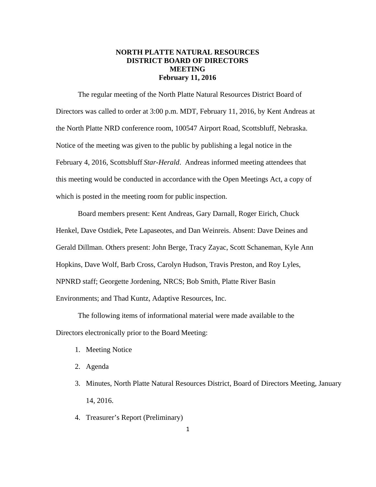# **NORTH PLATTE NATURAL RESOURCES DISTRICT BOARD OF DIRECTORS MEETING February 11, 2016**

The regular meeting of the North Platte Natural Resources District Board of Directors was called to order at 3:00 p.m. MDT, February 11, 2016, by Kent Andreas at the North Platte NRD conference room, 100547 Airport Road, Scottsbluff, Nebraska. Notice of the meeting was given to the public by publishing a legal notice in the February 4, 2016, Scottsbluff *Star-Herald*. Andreas informed meeting attendees that this meeting would be conducted in accordance with the Open Meetings Act, a copy of which is posted in the meeting room for public inspection.

Board members present: Kent Andreas, Gary Darnall, Roger Eirich, Chuck Henkel, Dave Ostdiek, Pete Lapaseotes, and Dan Weinreis. Absent: Dave Deines and Gerald Dillman. Others present: John Berge, Tracy Zayac, Scott Schaneman, Kyle Ann Hopkins, Dave Wolf, Barb Cross, Carolyn Hudson, Travis Preston, and Roy Lyles, NPNRD staff; Georgette Jordening, NRCS; Bob Smith, Platte River Basin Environments; and Thad Kuntz, Adaptive Resources, Inc.

The following items of informational material were made available to the Directors electronically prior to the Board Meeting:

- 1. Meeting Notice
- 2. Agenda
- 3. Minutes, North Platte Natural Resources District, Board of Directors Meeting, January 14, 2016.
- 4. Treasurer's Report (Preliminary)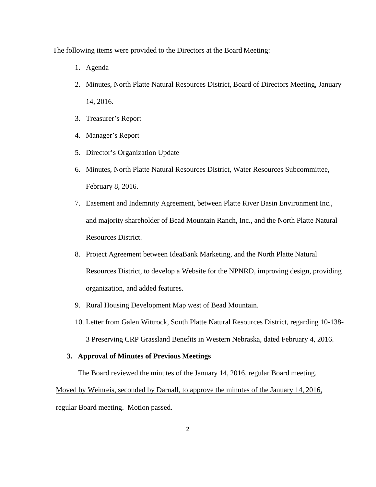The following items were provided to the Directors at the Board Meeting:

- 1. Agenda
- 2. Minutes, North Platte Natural Resources District, Board of Directors Meeting, January 14, 2016.
- 3. Treasurer's Report
- 4. Manager's Report
- 5. Director's Organization Update
- 6. Minutes, North Platte Natural Resources District, Water Resources Subcommittee, February 8, 2016.
- 7. Easement and Indemnity Agreement, between Platte River Basin Environment Inc., and majority shareholder of Bead Mountain Ranch, Inc., and the North Platte Natural Resources District.
- 8. Project Agreement between IdeaBank Marketing, and the North Platte Natural Resources District, to develop a Website for the NPNRD, improving design, providing organization, and added features.
- 9. Rural Housing Development Map west of Bead Mountain.
- 10. Letter from Galen Wittrock, South Platte Natural Resources District, regarding 10-138- 3 Preserving CRP Grassland Benefits in Western Nebraska, dated February 4, 2016.

# **3. Approval of Minutes of Previous Meetings**

The Board reviewed the minutes of the January 14, 2016, regular Board meeting.

Moved by Weinreis, seconded by Darnall, to approve the minutes of the January 14, 2016, regular Board meeting. Motion passed.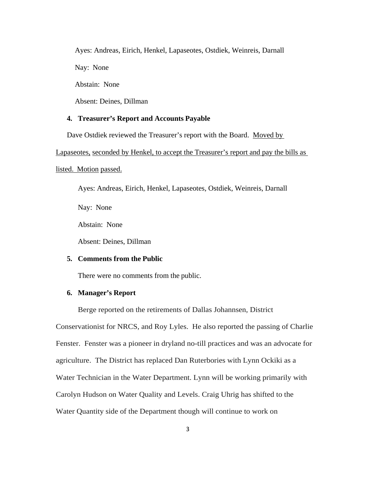Ayes: Andreas, Eirich, Henkel, Lapaseotes, Ostdiek, Weinreis, Darnall

Nay: None

Abstain: None

Absent: Deines, Dillman

# **4. Treasurer's Report and Accounts Payable**

Dave Ostdiek reviewed the Treasurer's report with the Board. Moved by

Lapaseotes, seconded by Henkel, to accept the Treasurer's report and pay the bills as

listed. Motion passed.

Ayes: Andreas, Eirich, Henkel, Lapaseotes, Ostdiek, Weinreis, Darnall

Nay: None

Abstain: None

Absent: Deines, Dillman

#### **5. Comments from the Public**

There were no comments from the public.

### **6. Manager's Report**

Berge reported on the retirements of Dallas Johannsen, District Conservationist for NRCS, and Roy Lyles. He also reported the passing of Charlie Fenster. Fenster was a pioneer in dryland no-till practices and was an advocate for agriculture. The District has replaced Dan Ruterbories with Lynn Ockiki as a Water Technician in the Water Department. Lynn will be working primarily with Carolyn Hudson on Water Quality and Levels. Craig Uhrig has shifted to the Water Quantity side of the Department though will continue to work on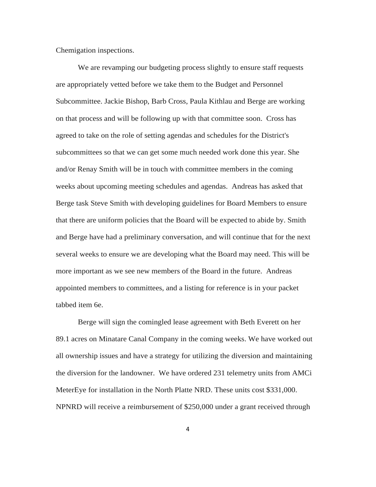Chemigation inspections.

We are revamping our budgeting process slightly to ensure staff requests are appropriately vetted before we take them to the Budget and Personnel Subcommittee. Jackie Bishop, Barb Cross, Paula Kithlau and Berge are working on that process and will be following up with that committee soon. Cross has agreed to take on the role of setting agendas and schedules for the District's subcommittees so that we can get some much needed work done this year. She and/or Renay Smith will be in touch with committee members in the coming weeks about upcoming meeting schedules and agendas. Andreas has asked that Berge task Steve Smith with developing guidelines for Board Members to ensure that there are uniform policies that the Board will be expected to abide by. Smith and Berge have had a preliminary conversation, and will continue that for the next several weeks to ensure we are developing what the Board may need. This will be more important as we see new members of the Board in the future. Andreas appointed members to committees, and a listing for reference is in your packet tabbed item 6e.

Berge will sign the comingled lease agreement with Beth Everett on her 89.1 acres on Minatare Canal Company in the coming weeks. We have worked out all ownership issues and have a strategy for utilizing the diversion and maintaining the diversion for the landowner. We have ordered 231 telemetry units from AMCi MeterEye for installation in the North Platte NRD. These units cost \$331,000. NPNRD will receive a reimbursement of \$250,000 under a grant received through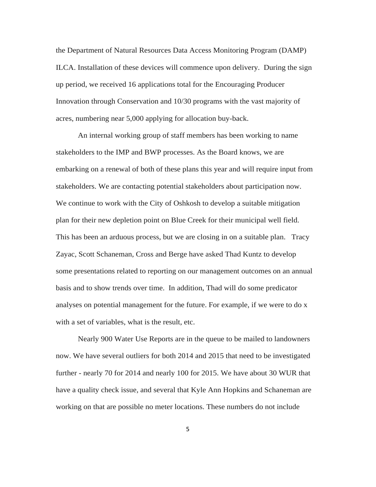the Department of Natural Resources Data Access Monitoring Program (DAMP) ILCA. Installation of these devices will commence upon delivery. During the sign up period, we received 16 applications total for the Encouraging Producer Innovation through Conservation and 10/30 programs with the vast majority of acres, numbering near 5,000 applying for allocation buy-back.

An internal working group of staff members has been working to name stakeholders to the IMP and BWP processes. As the Board knows, we are embarking on a renewal of both of these plans this year and will require input from stakeholders. We are contacting potential stakeholders about participation now. We continue to work with the City of Oshkosh to develop a suitable mitigation plan for their new depletion point on Blue Creek for their municipal well field. This has been an arduous process, but we are closing in on a suitable plan. Tracy Zayac, Scott Schaneman, Cross and Berge have asked Thad Kuntz to develop some presentations related to reporting on our management outcomes on an annual basis and to show trends over time. In addition, Thad will do some predicator analyses on potential management for the future. For example, if we were to do x with a set of variables, what is the result, etc.

Nearly 900 Water Use Reports are in the queue to be mailed to landowners now. We have several outliers for both 2014 and 2015 that need to be investigated further - nearly 70 for 2014 and nearly 100 for 2015. We have about 30 WUR that have a quality check issue, and several that Kyle Ann Hopkins and Schaneman are working on that are possible no meter locations. These numbers do not include

5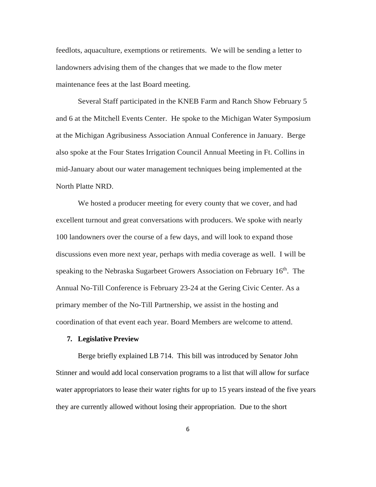feedlots, aquaculture, exemptions or retirements. We will be sending a letter to landowners advising them of the changes that we made to the flow meter maintenance fees at the last Board meeting.

Several Staff participated in the KNEB Farm and Ranch Show February 5 and 6 at the Mitchell Events Center. He spoke to the Michigan Water Symposium at the Michigan Agribusiness Association Annual Conference in January. Berge also spoke at the Four States Irrigation Council Annual Meeting in Ft. Collins in mid-January about our water management techniques being implemented at the North Platte NRD.

We hosted a producer meeting for every county that we cover, and had excellent turnout and great conversations with producers. We spoke with nearly 100 landowners over the course of a few days, and will look to expand those discussions even more next year, perhaps with media coverage as well. I will be speaking to the Nebraska Sugarbeet Growers Association on February 16<sup>th</sup>. The Annual No-Till Conference is February 23-24 at the Gering Civic Center. As a primary member of the No-Till Partnership, we assist in the hosting and coordination of that event each year. Board Members are welcome to attend.

### **7. Legislative Preview**

Berge briefly explained LB 714. This bill was introduced by Senator John Stinner and would add local conservation programs to a list that will allow for surface water appropriators to lease their water rights for up to 15 years instead of the five years they are currently allowed without losing their appropriation. Due to the short

6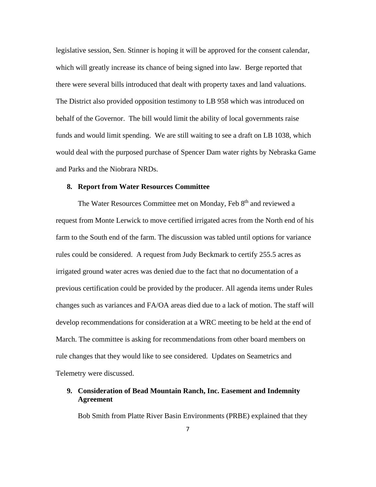legislative session, Sen. Stinner is hoping it will be approved for the consent calendar, which will greatly increase its chance of being signed into law. Berge reported that there were several bills introduced that dealt with property taxes and land valuations. The District also provided opposition testimony to LB 958 which was introduced on behalf of the Governor. The bill would limit the ability of local governments raise funds and would limit spending. We are still waiting to see a draft on LB 1038, which would deal with the purposed purchase of Spencer Dam water rights by Nebraska Game and Parks and the Niobrara NRDs.

#### **8. Report from Water Resources Committee**

The Water Resources Committee met on Monday, Feb 8<sup>th</sup> and reviewed a request from Monte Lerwick to move certified irrigated acres from the North end of his farm to the South end of the farm. The discussion was tabled until options for variance rules could be considered. A request from Judy Beckmark to certify 255.5 acres as irrigated ground water acres was denied due to the fact that no documentation of a previous certification could be provided by the producer. All agenda items under Rules changes such as variances and FA/OA areas died due to a lack of motion. The staff will develop recommendations for consideration at a WRC meeting to be held at the end of March. The committee is asking for recommendations from other board members on rule changes that they would like to see considered. Updates on Seametrics and Telemetry were discussed.

# **9. Consideration of Bead Mountain Ranch, Inc. Easement and Indemnity Agreement**

Bob Smith from Platte River Basin Environments (PRBE) explained that they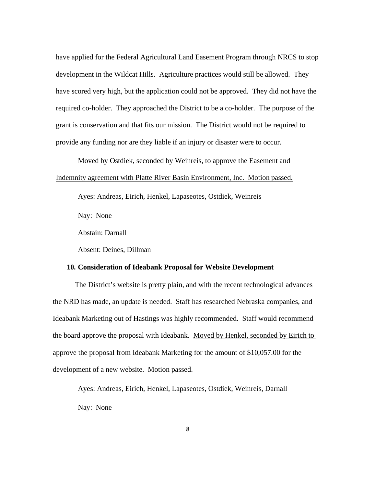have applied for the Federal Agricultural Land Easement Program through NRCS to stop development in the Wildcat Hills. Agriculture practices would still be allowed. They have scored very high, but the application could not be approved. They did not have the required co-holder. They approached the District to be a co-holder. The purpose of the grant is conservation and that fits our mission. The District would not be required to provide any funding nor are they liable if an injury or disaster were to occur.

Moved by Ostdiek, seconded by Weinreis, to approve the Easement and Indemnity agreement with Platte River Basin Environment, Inc. Motion passed.

Ayes: Andreas, Eirich, Henkel, Lapaseotes, Ostdiek, Weinreis

Nay: None

Abstain: Darnall

Absent: Deines, Dillman

#### **10. Consideration of Ideabank Proposal for Website Development**

 The District's website is pretty plain, and with the recent technological advances the NRD has made, an update is needed. Staff has researched Nebraska companies, and Ideabank Marketing out of Hastings was highly recommended. Staff would recommend the board approve the proposal with Ideabank. Moved by Henkel, seconded by Eirich to approve the proposal from Ideabank Marketing for the amount of \$10,057.00 for the development of a new website. Motion passed.

Ayes: Andreas, Eirich, Henkel, Lapaseotes, Ostdiek, Weinreis, Darnall Nay: None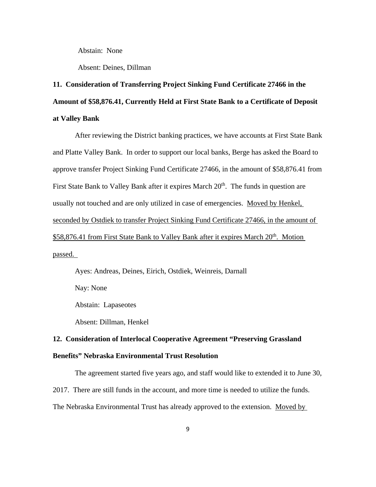Abstain: None

Absent: Deines, Dillman

# **11. Consideration of Transferring Project Sinking Fund Certificate 27466 in the Amount of \$58,876.41, Currently Held at First State Bank to a Certificate of Deposit at Valley Bank**

 After reviewing the District banking practices, we have accounts at First State Bank and Platte Valley Bank. In order to support our local banks, Berge has asked the Board to approve transfer Project Sinking Fund Certificate 27466, in the amount of \$58,876.41 from First State Bank to Valley Bank after it expires March 20<sup>th</sup>. The funds in question are usually not touched and are only utilized in case of emergencies. Moved by Henkel, seconded by Ostdiek to transfer Project Sinking Fund Certificate 27466, in the amount of \$58,876.41 from First State Bank to Valley Bank after it expires March 20<sup>th</sup>. Motion passed.

Ayes: Andreas, Deines, Eirich, Ostdiek, Weinreis, Darnall

Nay: None

Abstain: Lapaseotes

Absent: Dillman, Henkel

# **12. Consideration of Interlocal Cooperative Agreement "Preserving Grassland Benefits" Nebraska Environmental Trust Resolution**

 The agreement started five years ago, and staff would like to extended it to June 30, 2017. There are still funds in the account, and more time is needed to utilize the funds. The Nebraska Environmental Trust has already approved to the extension. Moved by